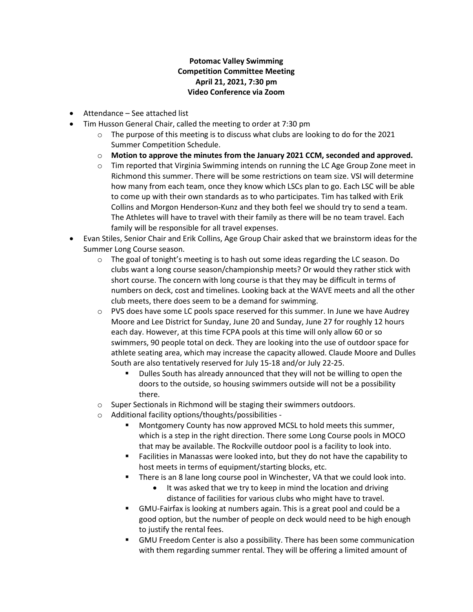## **Potomac Valley Swimming Competition Committee Meeting April 21, 2021, 7:30 pm Video Conference via Zoom**

- Attendance See attached list
- Tim Husson General Chair, called the meeting to order at 7:30 pm
	- $\circ$  The purpose of this meeting is to discuss what clubs are looking to do for the 2021 Summer Competition Schedule.
	- o **Motion to approve the minutes from the January 2021 CCM, seconded and approved.**
	- o Tim reported that Virginia Swimming intends on running the LC Age Group Zone meet in Richmond this summer. There will be some restrictions on team size. VSI will determine how many from each team, once they know which LSCs plan to go. Each LSC will be able to come up with their own standards as to who participates. Tim has talked with Erik Collins and Morgon Henderson-Kunz and they both feel we should try to send a team. The Athletes will have to travel with their family as there will be no team travel. Each family will be responsible for all travel expenses.
- Evan Stiles, Senior Chair and Erik Collins, Age Group Chair asked that we brainstorm ideas for the Summer Long Course season.
	- $\circ$  The goal of tonight's meeting is to hash out some ideas regarding the LC season. Do clubs want a long course season/championship meets? Or would they rather stick with short course. The concern with long course is that they may be difficult in terms of numbers on deck, cost and timelines. Looking back at the WAVE meets and all the other club meets, there does seem to be a demand for swimming.
	- $\circ$  PVS does have some LC pools space reserved for this summer. In June we have Audrey Moore and Lee District for Sunday, June 20 and Sunday, June 27 for roughly 12 hours each day. However, at this time FCPA pools at this time will only allow 60 or so swimmers, 90 people total on deck. They are looking into the use of outdoor space for athlete seating area, which may increase the capacity allowed. Claude Moore and Dulles South are also tentatively reserved for July 15-18 and/or July 22-25.
		- Dulles South has already announced that they will not be willing to open the doors to the outside, so housing swimmers outside will not be a possibility there.
	- o Super Sectionals in Richmond will be staging their swimmers outdoors.
	- o Additional facility options/thoughts/possibilities
		- Montgomery County has now approved MCSL to hold meets this summer, which is a step in the right direction. There some Long Course pools in MOCO that may be available. The Rockville outdoor pool is a facility to look into.
		- Facilities in Manassas were looked into, but they do not have the capability to host meets in terms of equipment/starting blocks, etc.
		- There is an 8 lane long course pool in Winchester, VA that we could look into.
			- It was asked that we try to keep in mind the location and driving distance of facilities for various clubs who might have to travel.
		- GMU-Fairfax is looking at numbers again. This is a great pool and could be a good option, but the number of people on deck would need to be high enough to justify the rental fees.
		- GMU Freedom Center is also a possibility. There has been some communication with them regarding summer rental. They will be offering a limited amount of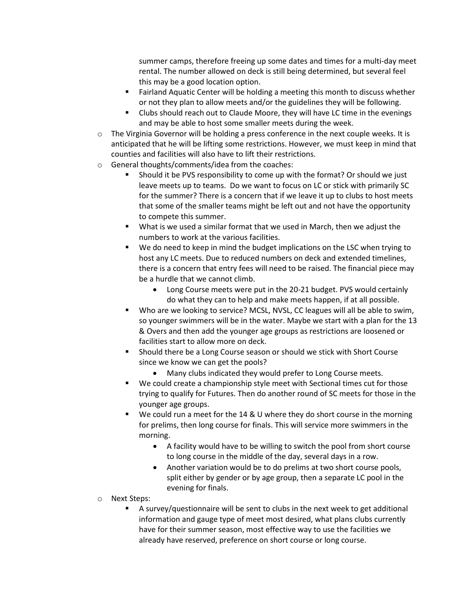summer camps, therefore freeing up some dates and times for a multi-day meet rental. The number allowed on deck is still being determined, but several feel this may be a good location option.

- Fairland Aquatic Center will be holding a meeting this month to discuss whether or not they plan to allow meets and/or the guidelines they will be following.
- Clubs should reach out to Claude Moore, they will have LC time in the evenings and may be able to host some smaller meets during the week.
- $\circ$  The Virginia Governor will be holding a press conference in the next couple weeks. It is anticipated that he will be lifting some restrictions. However, we must keep in mind that counties and facilities will also have to lift their restrictions.
- o General thoughts/comments/idea from the coaches:
	- Should it be PVS responsibility to come up with the format? Or should we just leave meets up to teams. Do we want to focus on LC or stick with primarily SC for the summer? There is a concern that if we leave it up to clubs to host meets that some of the smaller teams might be left out and not have the opportunity to compete this summer.
	- What is we used a similar format that we used in March, then we adjust the numbers to work at the various facilities.
	- We do need to keep in mind the budget implications on the LSC when trying to host any LC meets. Due to reduced numbers on deck and extended timelines, there is a concern that entry fees will need to be raised. The financial piece may be a hurdle that we cannot climb.
		- Long Course meets were put in the 20-21 budget. PVS would certainly do what they can to help and make meets happen, if at all possible.
	- Who are we looking to service? MCSL, NVSL, CC leagues will all be able to swim, so younger swimmers will be in the water. Maybe we start with a plan for the 13 & Overs and then add the younger age groups as restrictions are loosened or facilities start to allow more on deck.
	- Should there be a Long Course season or should we stick with Short Course since we know we can get the pools?
		- Many clubs indicated they would prefer to Long Course meets.
	- We could create a championship style meet with Sectional times cut for those trying to qualify for Futures. Then do another round of SC meets for those in the younger age groups.
	- We could run a meet for the 14 & U where they do short course in the morning for prelims, then long course for finals. This will service more swimmers in the morning.
		- A facility would have to be willing to switch the pool from short course to long course in the middle of the day, several days in a row.
		- Another variation would be to do prelims at two short course pools, split either by gender or by age group, then a separate LC pool in the evening for finals.
- o Next Steps:
	- A survey/questionnaire will be sent to clubs in the next week to get additional information and gauge type of meet most desired, what plans clubs currently have for their summer season, most effective way to use the facilities we already have reserved, preference on short course or long course.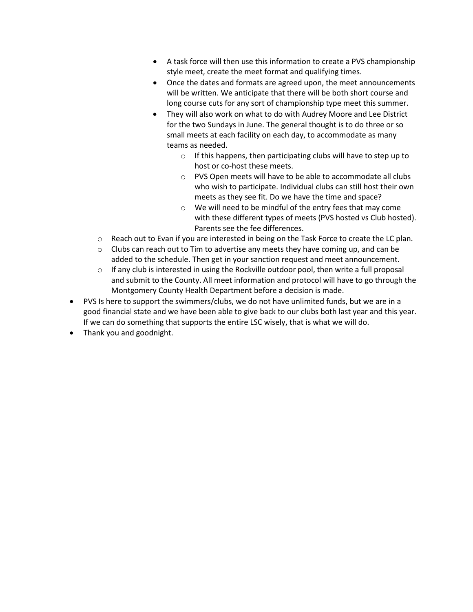- A task force will then use this information to create a PVS championship style meet, create the meet format and qualifying times.
- Once the dates and formats are agreed upon, the meet announcements will be written. We anticipate that there will be both short course and long course cuts for any sort of championship type meet this summer.
- They will also work on what to do with Audrey Moore and Lee District for the two Sundays in June. The general thought is to do three or so small meets at each facility on each day, to accommodate as many teams as needed.
	- o If this happens, then participating clubs will have to step up to host or co-host these meets.
	- o PVS Open meets will have to be able to accommodate all clubs who wish to participate. Individual clubs can still host their own meets as they see fit. Do we have the time and space?
	- o We will need to be mindful of the entry fees that may come with these different types of meets (PVS hosted vs Club hosted). Parents see the fee differences.
- $\circ$  Reach out to Evan if you are interested in being on the Task Force to create the LC plan.
- $\circ$  Clubs can reach out to Tim to advertise any meets they have coming up, and can be added to the schedule. Then get in your sanction request and meet announcement.
- $\circ$  If any club is interested in using the Rockville outdoor pool, then write a full proposal and submit to the County. All meet information and protocol will have to go through the Montgomery County Health Department before a decision is made.
- PVS Is here to support the swimmers/clubs, we do not have unlimited funds, but we are in a good financial state and we have been able to give back to our clubs both last year and this year. If we can do something that supports the entire LSC wisely, that is what we will do.
- Thank you and goodnight.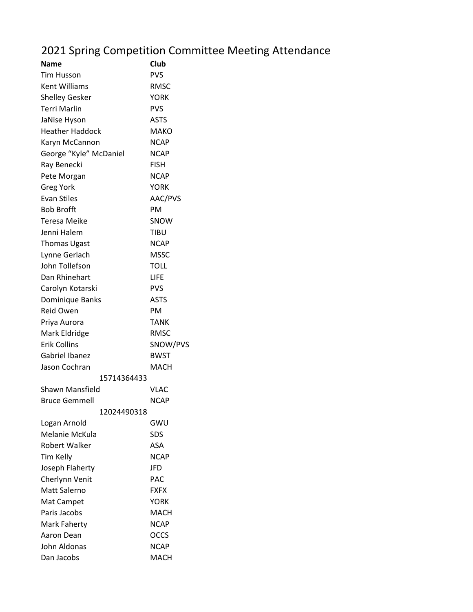## 2021 Spring Competition Committee Meeting Attendance

| Name                   | Club        |
|------------------------|-------------|
| Tim Husson             | <b>PVS</b>  |
| <b>Kent Williams</b>   | <b>RMSC</b> |
| <b>Shelley Gesker</b>  | YORK        |
| <b>Terri Marlin</b>    | <b>PVS</b>  |
| JaNise Hyson           | <b>ASTS</b> |
| <b>Heather Haddock</b> | MAKO        |
| Karyn McCannon         | <b>NCAP</b> |
| George "Kyle" McDaniel | <b>NCAP</b> |
| Ray Benecki            | <b>FISH</b> |
| Pete Morgan            | <b>NCAP</b> |
| <b>Greg York</b>       | <b>YORK</b> |
| <b>Evan Stiles</b>     | AAC/PVS     |
| <b>Bob Brofft</b>      | PM          |
| Teresa Meike           | SNOW        |
| Jenni Halem            | TIBU        |
| <b>Thomas Ugast</b>    | <b>NCAP</b> |
| Lynne Gerlach          | <b>MSSC</b> |
| John Tollefson         | <b>TOLL</b> |
| Dan Rhinehart          | <b>LIFE</b> |
| Carolyn Kotarski       | <b>PVS</b>  |
| Dominique Banks        | <b>ASTS</b> |
| Reid Owen              | PМ          |
| Priya Aurora           | <b>TANK</b> |
| Mark Eldridge          | <b>RMSC</b> |
| <b>Erik Collins</b>    | SNOW/PVS    |
| Gabriel Ibanez         | <b>BWST</b> |
| Jason Cochran          | MACH        |
| 15714364433            |             |
| Shawn Mansfield        | VLAC        |
| <b>Bruce Gemmell</b>   | <b>NCAP</b> |
| 12024490318            |             |
| Logan Arnold           | GWU         |
| Melanie McKula         | SDS         |
| Robert Walker          | ASA         |
| Tim Kelly              | <b>NCAP</b> |
| Joseph Flaherty        | JFD         |
| Cherlynn Venit         | PAC         |
| Matt Salerno           | FXFX        |
| Mat Campet             | <b>YORK</b> |
| Paris Jacobs           | MACH        |
| Mark Faherty           | <b>NCAP</b> |
| Aaron Dean             | OCCS        |
| John Aldonas           | <b>NCAP</b> |
| Dan Jacobs             | <b>MACH</b> |